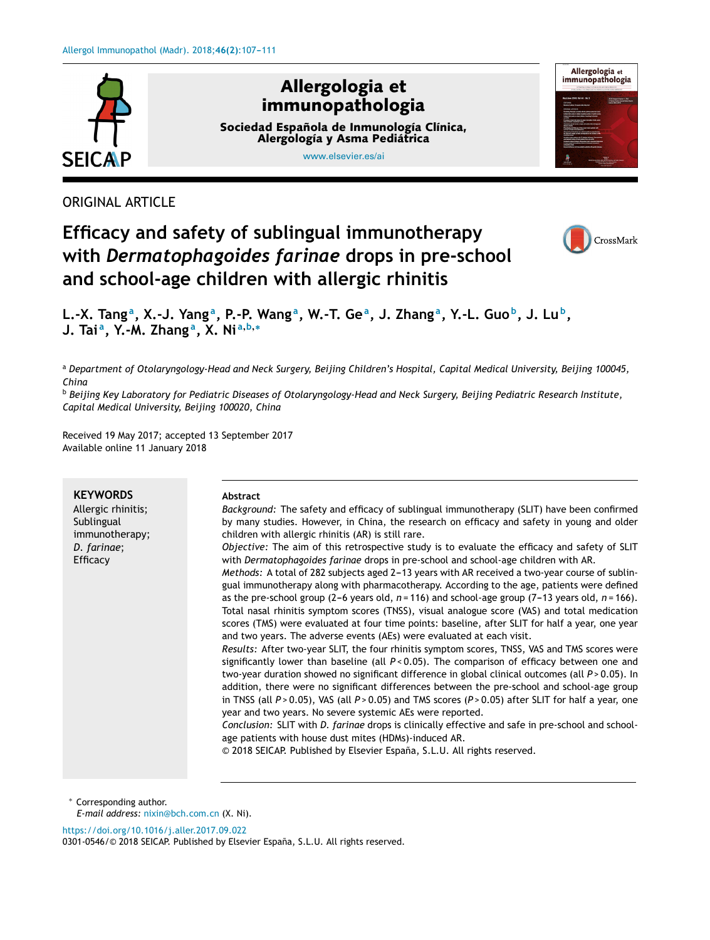

ORIGINAL ARTICLE

# **Efficacy and safety of sublingual immunotherapy with** *Dermatophagoides farinae* **drops in pre-school and school-age children with allergic rhinitis**



L.-X. Tang<sup>a</sup>, X.-J. Yang<sup>a</sup>, P.-P. Wang<sup>a</sup>, W.-T. Ge<sup>a</sup>, J. Zhang<sup>a</sup>, Y.-L. Guo<sup>b</sup>, J. Lu<sup>b</sup>, **J. Tai <sup>a</sup> , Y.-M. Zhang <sup>a</sup> , X. Ni <sup>a</sup>**,**b**,<sup>∗</sup>

<sup>a</sup> *Department of Otolaryngology-Head and Neck Surgery, Beijing Children's Hospital, Capital Medical University, Beijing 100045, China*

<sup>b</sup> Beijing Key Laboratory for Pediatric Diseases of Otolaryngology-Head and Neck Surgery, Beijing Pediatric Research Institute, *Capital Medical University, Beijing 100020, China*

Received 19 May 2017; accepted 13 September 2017 Available online 11 January 2018

| <b>KEYWORDS</b>                | Abstract                                                                                                                                                                                                                                                                                                                                                                                                                                                                                                                                                                               |
|--------------------------------|----------------------------------------------------------------------------------------------------------------------------------------------------------------------------------------------------------------------------------------------------------------------------------------------------------------------------------------------------------------------------------------------------------------------------------------------------------------------------------------------------------------------------------------------------------------------------------------|
| Allergic rhinitis;             | Background: The safety and efficacy of sublingual immunotherapy (SLIT) have been confirmed                                                                                                                                                                                                                                                                                                                                                                                                                                                                                             |
| Sublingual<br>immunotherapy;   | by many studies. However, in China, the research on efficacy and safety in young and older<br>children with allergic rhinitis (AR) is still rare.                                                                                                                                                                                                                                                                                                                                                                                                                                      |
| D. farinae;<br><b>Efficacy</b> | Objective: The aim of this retrospective study is to evaluate the efficacy and safety of SLIT<br>with <i>Dermatophagoides farinae</i> drops in pre-school and school-age children with AR.                                                                                                                                                                                                                                                                                                                                                                                             |
|                                | Methods: A total of 282 subjects aged 2-13 years with AR received a two-year course of sublin-<br>gual immunotherapy along with pharmacotherapy. According to the age, patients were defined<br>as the pre-school group (2-6 years old, $n = 116$ ) and school-age group (7-13 years old, $n = 166$ ).<br>Total nasal rhinitis symptom scores (TNSS), visual analogue score (VAS) and total medication                                                                                                                                                                                 |
|                                | scores (TMS) were evaluated at four time points: baseline, after SLIT for half a year, one year<br>and two years. The adverse events (AEs) were evaluated at each visit.                                                                                                                                                                                                                                                                                                                                                                                                               |
|                                | Results: After two-year SLIT, the four rhinitis symptom scores, TNSS, VAS and TMS scores were<br>significantly lower than baseline (all $P < 0.05$ ). The comparison of efficacy between one and<br>two-year duration showed no significant difference in global clinical outcomes (all $P > 0.05$ ). In<br>addition, there were no significant differences between the pre-school and school-age group<br>in TNSS (all $P > 0.05$ ), VAS (all $P > 0.05$ ) and TMS scores ( $P > 0.05$ ) after SLIT for half a year, one<br>year and two years. No severe systemic AEs were reported. |
|                                | Conclusion: SLIT with D. farinae drops is clinically effective and safe in pre-school and school-<br>age patients with house dust mites (HDMs)-induced AR.<br>© 2018 SEICAP. Published by Elsevier España, S.L.U. All rights reserved.                                                                                                                                                                                                                                                                                                                                                 |
|                                |                                                                                                                                                                                                                                                                                                                                                                                                                                                                                                                                                                                        |

<sup>∗</sup> Corresponding author. *E-mail address:* [nixin@bch.com.cn](mailto:nixin@bch.com.cn) (X. Ni).

<https://doi.org/10.1016/j.aller.2017.09.022>

0301-0546/© 2018 SEICAP. Published by Elsevier España, S.L.U. All rights reserved.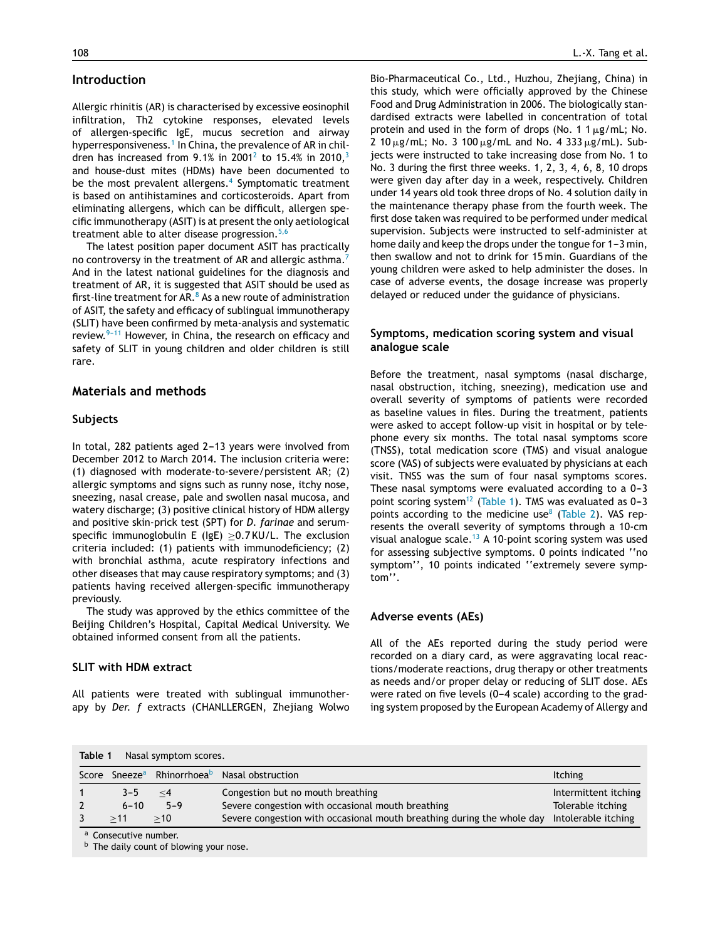## **Introduction**

Allergic rhinitis (AR) is characterised by excessive eosinophil infiltration, Th2 cytokine responses, elevated levels of allergen-specific IgE, mucus secretion and airway hyperresponsiveness.<sup>1</sup> [In](#page-4-0) China, the prevalence of AR in chil-dren has increased from 9.1% in [2](#page-4-0)001<sup>2</sup> to 15.4% in 2010,<sup>[3](#page-4-0)</sup> and house-dust mites (HDMs) have been documented to be the most prevalent allergens.<sup>[4](#page-4-0)</sup> Symptomatic treatment is based on antihistamines and corticosteroids. Apart from eliminating allergens, which can be difficult, allergen specific immunotherapy (ASIT) is at present the only aetiological treatment able to alter disease progression. $5,6$ 

The latest position paper document ASIT has practically no controversy in the treatment of AR and allergic asthma. And in the latest national guidelines for the diagnosis and treatment of AR, it is suggested that ASIT should be used as first-line treatment for  $AR.8$  $AR.8$  As a new route of administration of ASIT, the safety and efficacy of sublingual immunotherapy (SLIT) have been confirmed by meta-analysis and systematic review. $9-11$  However, in China, the research on efficacy and safety of SLIT in young children and older children is still rare.

## **Materials and methods**

#### **Subjects**

In total, 282 patients aged 2-13 years were involved from December 2012 to March 2014. The inclusion criteria were: (1) diagnosed with moderate-to-severe/persistent AR; (2) allergic symptoms and signs such as runny nose, itchy nose, sneezing, nasal crease, pale and swollen nasal mucosa, and watery discharge; (3) positive clinical history of HDM allergy and positive skin-prick test (SPT) for *D. farinae* and serumspecific immunoglobulin E (IgE)  $\geq$ 0.7 KU/L. The exclusion criteria included: (1) patients with immunodeficiency; (2) with bronchial asthma, acute respiratory infections and other diseases that may cause respiratory symptoms; and (3) patients having received allergen-specific immunotherapy previously.

The study was approved by the ethics committee of the Beijing Children's Hospital, Capital Medical University. We obtained informed consent from all the patients.

### **SLIT with HDM extract**

All patients were treated with sublingual immunotherapy by *Der. f* extracts (CHANLLERGEN, Zhejiang Wolwo

Bio-Pharmaceutical Co., Ltd., Huzhou, Zhejiang, China) in this study, which were officially approved by the Chinese Food and Drug Administration in 2006. The biologically standardised extracts were labelled in concentration of total protein and used in the form of drops (No. 1  $1 \mu$ g/mL; No.  $2$  10  $\mu$ g/mL; No. 3 100  $\mu$ g/mL and No. 4 333  $\mu$ g/mL). Subjects were instructed to take increasing dose from No. 1 to No. 3 during the first three weeks. 1, 2, 3, 4, 6, 8, 10 drops were given day after day in a week, respectively. Children under 14 years old took three drops of No. 4 solution daily in the maintenance therapy phase from the fourth week. The first dose taken was required to be performed under medical supervision. Subjects were instructed to self-administer at home daily and keep the drops under the tongue for  $1-3$  min, then swallow and not to drink for 15 min. Guardians of the young children were asked to help administer the doses. In case of adverse events, the dosage increase was properly delayed or reduced under the guidance of physicians.

## **Symptoms, medication scoring system and visual analogue scale**

Before the treatment, nasal symptoms (nasal discharge, nasal obstruction, itching, sneezing), medication use and overall severity of symptoms of patients were recorded as baseline values in files. During the treatment, patients were asked to accept follow-up visit in hospital or by telephone every six months. The total nasal symptoms score (TNSS), total medication score (TMS) and visual analogue score (VAS) of subjects were evaluated by physicians at each visit. TNSS was the sum of four nasal symptoms scores. These nasal symptoms were evaluated according to a  $0-3$ point scoring system<sup>[12](#page-4-0)</sup> (Table 1). TMS was evaluated as  $0-3$ points according to the medicine use $8$  ([Table](#page-2-0) 2). VAS represents the overall severity of symptoms through a 10-cm visual analogue scale.<sup>[13](#page-4-0)</sup> A 10-point scoring system was used for assessing subjective symptoms. 0 points indicated ''no symptom'', 10 points indicated ''extremely severe symptom''.

#### **Adverse events (AEs)**

All of the AEs reported during the study period were recorded on a diary card, as were aggravating local reactions/moderate reactions, drug therapy or other treatments as needs and/or proper delay or reducing of SLIT dose. AEs were rated on five levels (0-4 scale) according to the grading system proposed by the European Academy of Allergy and

| Table 1<br>Nasal symptom scores. |                                  |          |                                                                        |                      |  |
|----------------------------------|----------------------------------|----------|------------------------------------------------------------------------|----------------------|--|
|                                  |                                  |          | Score Sneeze <sup>a</sup> Rhinorrhoea <sup>b</sup> Nasal obstruction   | <b>Itching</b>       |  |
|                                  | $3 - 5$                          | $\leq$ 4 | Congestion but no mouth breathing                                      | Intermittent itching |  |
|                                  | $6 - 10$                         | $5 - 9$  | Severe congestion with occasional mouth breathing                      | Tolerable itching    |  |
|                                  | >11                              | >10      | Severe congestion with occasional mouth breathing during the whole day | Intolerable itching  |  |
|                                  | <sup>a</sup> Consecutive number. |          |                                                                        |                      |  |

 $<sup>b</sup>$  The daily count of blowing your nose.</sup>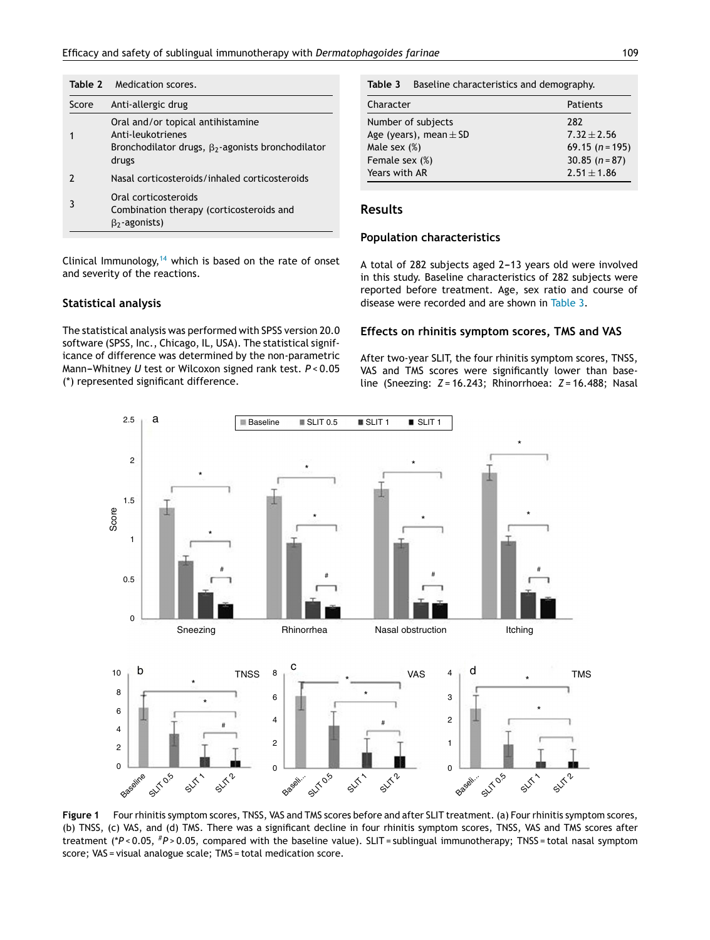<span id="page-2-0"></span>

|       | <b>Table 2</b> Medication scores.                                                                                           |  |  |
|-------|-----------------------------------------------------------------------------------------------------------------------------|--|--|
| Score | Anti-allergic drug                                                                                                          |  |  |
| 1     | Oral and/or topical antihistamine<br>Anti-leukotrienes<br>Bronchodilator drugs, $\beta_2$ -agonists bronchodilator<br>drugs |  |  |
| 7     | Nasal corticosteroids/inhaled corticosteroids                                                                               |  |  |
| 3     | Oral corticosteroids<br>Combination therapy (corticosteroids and<br>$\beta_2$ -agonists)                                    |  |  |

**Table 3** Baseline characteristics and demography.

| Patients         |
|------------------|
| 282              |
| $7.32 \pm 2.56$  |
| $69.15(n=195)$   |
| 30.85 $(n = 87)$ |
| $2.51 \pm 1.86$  |
|                  |

### **Results**

## **Population characteristics**

Clinical Immunology,  $14$  which is based on the rate of onset and severity of the reactions.

#### **Statistical analysis**

The statistical analysis was performed with SPSS version 20.0 software (SPSS, Inc., Chicago, IL, USA). The statistical significance of difference was determined by the non-parametric Mann-Whitney *U* test or Wilcoxon signed rank test.  $P < 0.05$ (\*) represented significant difference.

A total of 282 subjects aged 2-13 years old were involved in this study. Baseline characteristics of 282 subjects were reported before treatment. Age, sex ratio and course of disease were recorded and are shown in Table 3.

#### **Effects on rhinitis symptom scores, TMS and VAS**

After two-year SLIT, the four rhinitis symptom scores, TNSS, VAS and TMS scores were significantly lower than baseline (Sneezing: *Z* = 16.243; Rhinorrhoea: *Z* = 16.488; Nasal



**Figure 1** Four rhinitis symptom scores, TNSS, VAS and TMS scores before and after SLIT treatment. (a) Four rhinitis symptom scores, (b) TNSS, (c) VAS, and (d) TMS. There was a significant decline in four rhinitis symptom scores, TNSS, VAS and TMS scores after treatment (\**P* < 0.05, #*P* > 0.05, compared with the baseline value). SLIT = sublingual immunotherapy; TNSS = total nasal symptom score; VAS = visual analogue scale; TMS = total medication score.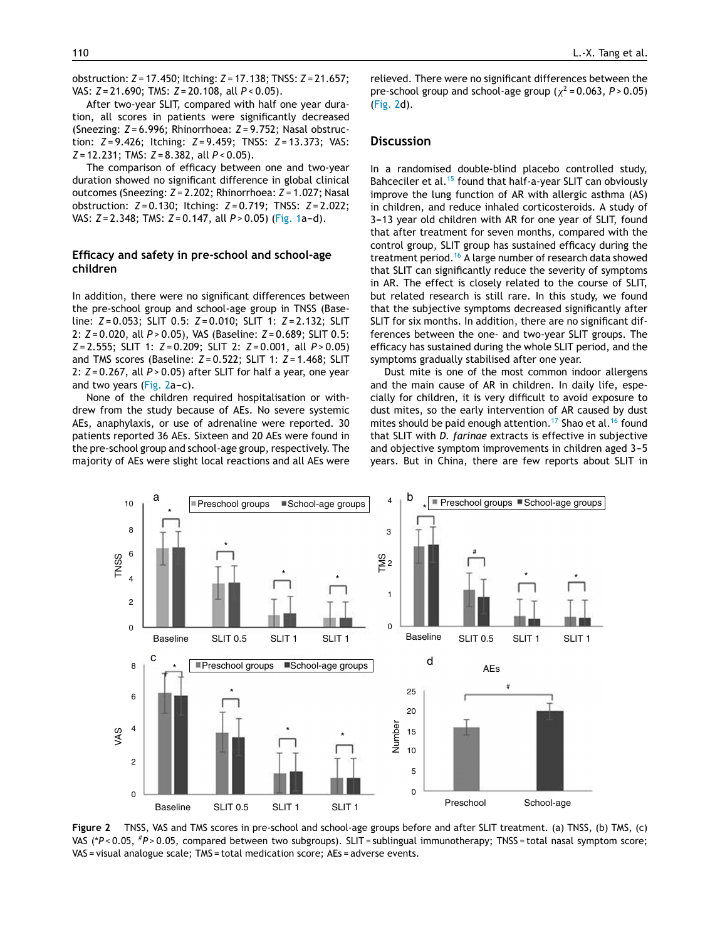obstruction: *Z* = 17.450; Itching: *Z* = 17.138; TNSS: *Z* = 21.657; VAS: *Z* = 21.690; TMS: *Z* = 20.108, all *P* < 0.05).

After two-year SLIT, compared with half one year duration, all scores in patients were significantly decreased (Sneezing: *Z* = 6.996; Rhinorrhoea: *Z* = 9.752; Nasal obstruction: *Z* = 9.426; Itching: *Z* = 9.459; TNSS: *Z* = 13.373; VAS: *Z* = 12.231; TMS: *Z* = 8.382, all *P* < 0.05).

The comparison of efficacy between one and two-year duration showed no significant difference in global clinical outcomes (Sneezing: *Z* = 2.202; Rhinorrhoea: *Z* = 1.027; Nasal obstruction: *Z* = 0.130; Itching: *Z* = 0.719; TNSS: *Z* = 2.022; VAS: *Z* = 2.348; TMS: *Z* = 0.147, all *P* > 0.05) [\(Fig.](#page-2-0) 1a-d).

## **Efficacy and safety in pre-school and school-age children**

In addition, there were no significant differences between the pre-school group and school-age group in TNSS (Baseline: *Z* = 0.053; SLIT 0.5: *Z* = 0.010; SLIT 1: *Z* = 2.132; SLIT 2: *Z* = 0.020, all *P* > 0.05), VAS (Baseline: *Z* = 0.689; SLIT 0.5: *Z* = 2.555; SLIT 1: *Z* = 0.209; SLIT 2: *Z* = 0.001, all *P* > 0.05) and TMS scores (Baseline: *Z* = 0.522; SLIT 1: *Z* = 1.468; SLIT 2: *Z* = 0.267, all *P* > 0.05) after SLIT for half a year, one year and two years (Fig.  $2a-c$ ).

None of the children required hospitalisation or withdrew from the study because of AEs. No severe systemic AEs, anaphylaxis, or use of adrenaline were reported. 30 patients reported 36 AEs. Sixteen and 20 AEs were found in the pre-school group and school-age group, respectively. The majority of AEs were slight local reactions and all AEs were relieved. There were no significant differences between the pre-school group and school-age group ( $\chi^2$  = 0.063, P > 0.05) (Fig. 2d).

## **Discussion**

In a randomised double-blind placebo controlled study, Bahceciler et al.<sup>[15](#page-4-0)</sup> found that half-a-year SLIT can obviously improve the lung function of AR with allergic asthma (AS) in children, and reduce inhaled corticosteroids. A study of 3-13 year old children with AR for one year of SLIT, found that after treatment for seven months, compared with the control group, SLIT group has sustained efficacy during the treatment period.<sup>[16](#page-4-0)</sup> A large number of research data showed that SLIT can significantly reduce the severity of symptoms in AR. The effect is closely related to the course of SLIT, but related research is still rare. In this study, we found that the subjective symptoms decreased significantly after SLIT for six months. In addition, there are no significant differences between the one- and two-year SLIT groups. The efficacy has sustained during the whole SLIT period, and the symptoms gradually stabilised after one year.

Dust mite is one of the most common indoor allergens and the main cause of AR in children. In daily life, especially for children, it is very difficult to avoid exposure to dust mites, so the early intervention of AR caused by dust mites should be paid enough attention.<sup>[17](#page-4-0)</sup> Shao et al.<sup>[16](#page-4-0)</sup> found that SLIT with *D. farinae* extracts is effective in subjective and objective symptom improvements in children aged 3-5 years. But in China, there are few reports about SLIT in



**Figure 2** TNSS, VAS and TMS scores in pre-school and school-age groups before and after SLIT treatment. (a) TNSS, (b) TMS, (c) VAS (\**P* < 0.05, #*P* > 0.05, compared between two subgroups). SLIT = sublingual immunotherapy; TNSS = total nasal symptom score; VAS = visual analogue scale; TMS = total medication score; AEs = adverse events.